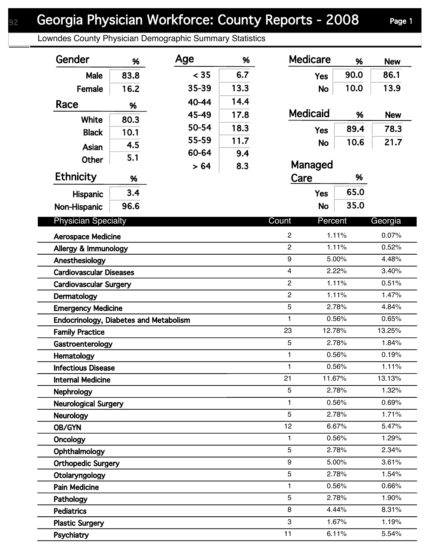Lowndes County Physician Demographic Summary Statistics

| Gender                                 | %    | Age   | %    | <b>Medicare</b>  | %     | <b>New</b> |
|----------------------------------------|------|-------|------|------------------|-------|------------|
| Male                                   | 83.8 | < 35  | 6.7  | <b>Yes</b>       | 90.0  | 86.1       |
| Female                                 | 16.2 | 35-39 | 13.3 | <b>No</b>        | 10.0  | 13.9       |
| Race                                   |      | 40-44 | 14.4 |                  |       |            |
|                                        | %    | 45-49 | 17.8 | <b>Medicaid</b>  | %     | <b>New</b> |
| White                                  | 80.3 | 50-54 | 18.3 | <b>Yes</b>       | 89.4  | 78.3       |
| <b>Black</b>                           | 10.1 | 55-59 | 11.7 | <b>No</b>        | 10.6  | 21.7       |
| Asian                                  | 4.5  | 60-64 | 9.4  |                  |       |            |
| <b>Other</b>                           | 5.1  | >64   | 8.3  | Managed          |       |            |
| <b>Ethnicity</b>                       | %    |       |      | Care             | %     |            |
| Hispanic                               | 3.4  |       |      | <b>Yes</b>       | 65.0  |            |
| Non-Hispanic                           | 96.6 |       |      | <b>No</b>        | 35.0  |            |
| <b>Physician Specialty</b>             |      |       |      | Count<br>Percent |       | Georgia    |
| <b>Aerospace Medicine</b>              |      |       |      | $\overline{c}$   | 1.11% | 0.07%      |
| Allergy & Immunology                   |      |       |      | $\overline{c}$   | 1.11% | 0.52%      |
| Anesthesiology                         |      |       |      | 9                | 5.00% | 4.48%      |
| <b>Cardiovascular Diseases</b>         |      |       |      | $\overline{4}$   | 2.22% | 3.40%      |
| <b>Cardiovascular Surgery</b>          |      |       |      | $\overline{2}$   | 1.11% | 0.51%      |
| Dermatology                            |      |       |      | $\mathbf{2}$     | 1.11% | 1.47%      |
| <b>Emergency Medicine</b>              |      |       |      | 5                | 2.78% | 4.84%      |
| Endocrinology, Diabetes and Metabolism |      |       |      | 1                | 0.56% | 0.65%      |
| <b>Family Practice</b>                 |      |       |      | 23<br>12.78%     |       | 13.25%     |
| Gastroenterology                       |      |       |      | 5                | 2.78% | 1.84%      |
| Hematology                             |      |       |      | 1                | 0.56% | 0.19%      |
| <b>Infectious Disease</b>              |      |       |      | 1.               | 0.56% | 1.11%      |
| <b>Internal Medicine</b>               |      |       |      | 21<br>11.67%     |       | 13.13%     |
| Nephrology                             |      |       |      | 5                | 2.78% | 1.32%      |
| <b>Neurological Surgery</b>            |      |       |      | 1                | 0.56% | 0.69%      |
| <b>Neurology</b>                       |      |       |      | 5                | 2.78% | 1.71%      |
| OB/GYN                                 |      |       |      | 12               | 6.67% | 5.47%      |
| Oncology                               |      |       |      | 1                | 0.56% | 1.29%      |
| Ophthalmology                          |      |       |      | 5                | 2.78% | 2.34%      |
| <b>Orthopedic Surgery</b>              |      |       |      | 9                | 5.00% | 3.61%      |
| Otolaryngology                         |      |       |      | 5                | 2.78% | 1.54%      |
| <b>Pain Medicine</b>                   |      |       |      | 1                | 0.56% | 0.66%      |
| Pathology                              |      |       |      | 5                | 2.78% | 1.90%      |
| <b>Pediatrics</b>                      |      |       |      | 8                | 4.44% | 8.31%      |
| <b>Plastic Surgery</b>                 |      |       |      | 3                | 1.67% | 1.19%      |
| Psychiatry                             |      |       |      | 11               | 6.11% | 5.54%      |